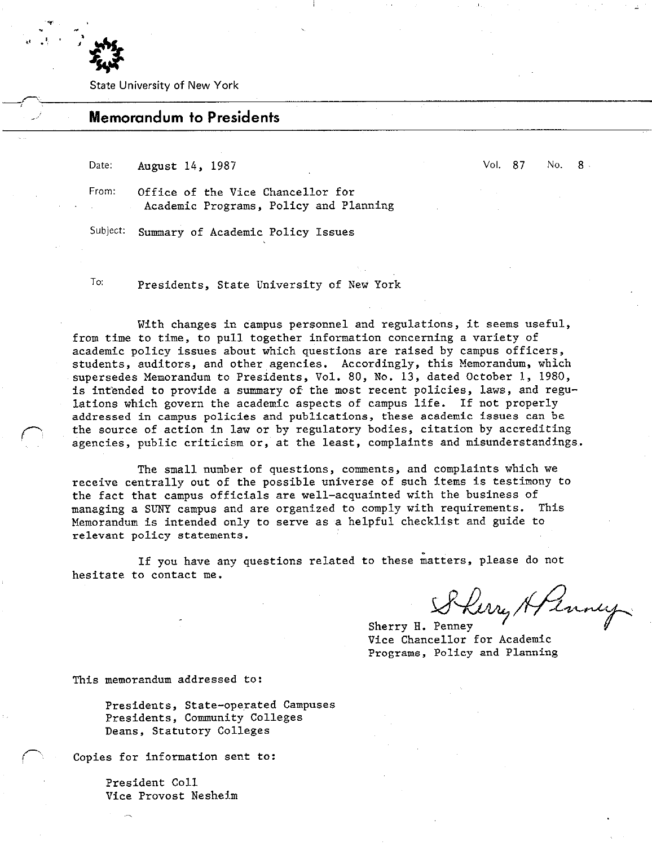

State University of New York

# Memorandum to Presidents

Date: August 14, 1987

Vol. 87 No. 8

From: Office of the Vice Chancellor for Academic Programs, Policy and Planning

Subject: Summary of Academic Policy Issues

To: Presidents, State University of New York

With changes in campus personnel and regulations, it seems useful, from time to time, to pull together information concerning a variety of academic policy issues about which questions are raised by campus officers, students, auditors, and other agencies. Accordingly, this Memorandum, which supersedes Memorandum to Presidents, Vol. 80, No. 13, dated October 1, 1980, is int'ended to provide a summary of the most recent policies, laws, and regulations which govern the academic aspects of campus life. If not properly addressed in campus policies and publications, these academic issues can be the source of action in law or by regulatory bodies, citation by accrediting agencies, public criticism or, at the least, complaints and misunderstandings.

The small number of questions, comments, and complaints which we receive centrally out of the possible universe of such items is testimony to the fact that campus officials are well-acquainted with the business of managing a SUNY campus and are organized to comply with requirements. This Memorandum is intended only to serve as a helpful checklist and guide to relevant policy statements.

If you have any questions related to these matters, please do not hesitate to contact me.

Sherry Afrancy.

Sherry H. Penney Vice Chancellor for Academic Programs, Policy and Planning

This memorandum addressed to:

Presidents, State-operated Campuses Presidents, Community Colleges Deans, Statutory Colleges

Copies for information sent to:

President Co11 Vice Provost Neshelm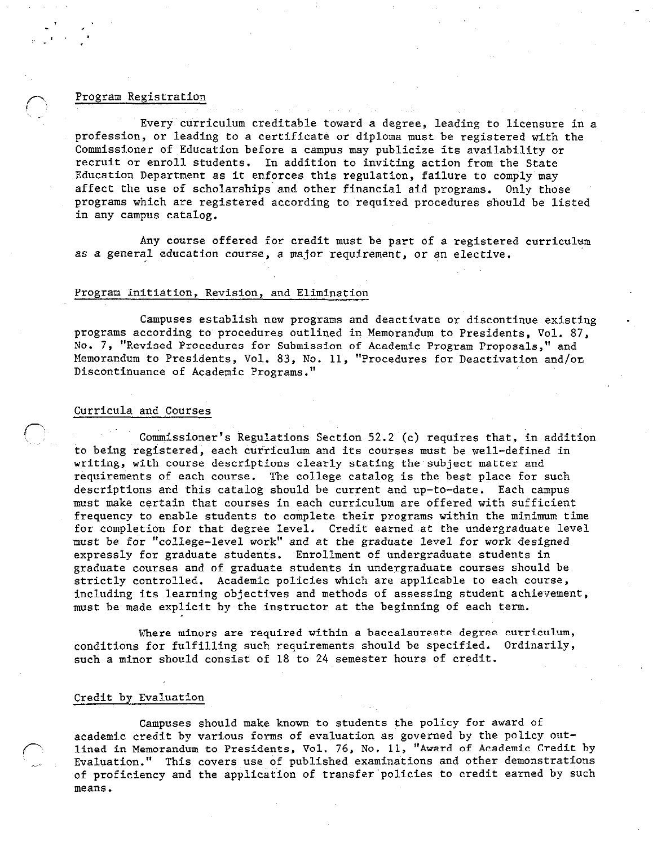### Program Registration

Every curriculum creditable toward a degree, leading to licensure in a profession, or leading to a certificate or diploma must be registered with the Commissioner of Education before a campus may publicize its availability or recruit or enroll students. In addition to inviting action from the State Education Department as it enforces this regulation, failure to comply may affect the use of scholarships and other financial aid programs. Only those programs which are registered according to required procedures should be listed in any campus catalog.

Any course offered for credit must be part of a registered curriculum as a general education course, a major requirement, or an elective.

## Program Initiation, Revision, and Elimination

Campuses establish new programs and deactivate or discontinue existing programs according to procedures outlined in Memorandum to Presidents, Vol. 87, No. 7, "Revised Procedures for Submission of Academic Program Proposals," and Memorandum to Presidents, Vol. 83, No. 11, "Procedures for Deactivation and/or, Discontinuance of Academic Programs."

### Curricula and Courses

 $\bigcap$ 

Commissioner's Regulations Section 52.2 (c) requires that, in addition to being registered, each curriculum and its courses must be well-defined in writing, with course descriptions clearly stating the subject matter and requirements of each course. The college catalog is the best place for such descriptions and this catalog should be current and up-to-date. Each campus must make certain that courses in each curriculum are offered with sufficient frequency to enable students to complete their programs within the minimum time for completion for that degree level. Credit earned at the undergraduate level must be for "college-level work" and at the graduate level for work designed expressly for graduate students. Enrollment of undergraduate students in graduate courses and of graduate students in undergraduate courses should be strictly controlled. Academic policies which are applicable to each course, including its learning objectives and methods of assessing student achievement, must be made explicit by the instructor at the beginning of each term.

Where minors are required within a baccalaureate degree curriculum, conditions for fulfilling such requirements should be specified. Ordinarily, such a minor should consist of 18 to 24 semester hours of credit.

## Credit by Evaluation

Campuses should make known to students the policy for award of academic credit by various forms of evaluation as governed by the policy outlined in Memorandum to Presidents, Vol. 76, No. 11, "Award of Academic Credit by Evaluation." This covers use of published examinations and other demonstrations of proficiency and the application of transfer'policies to credit earned by such means.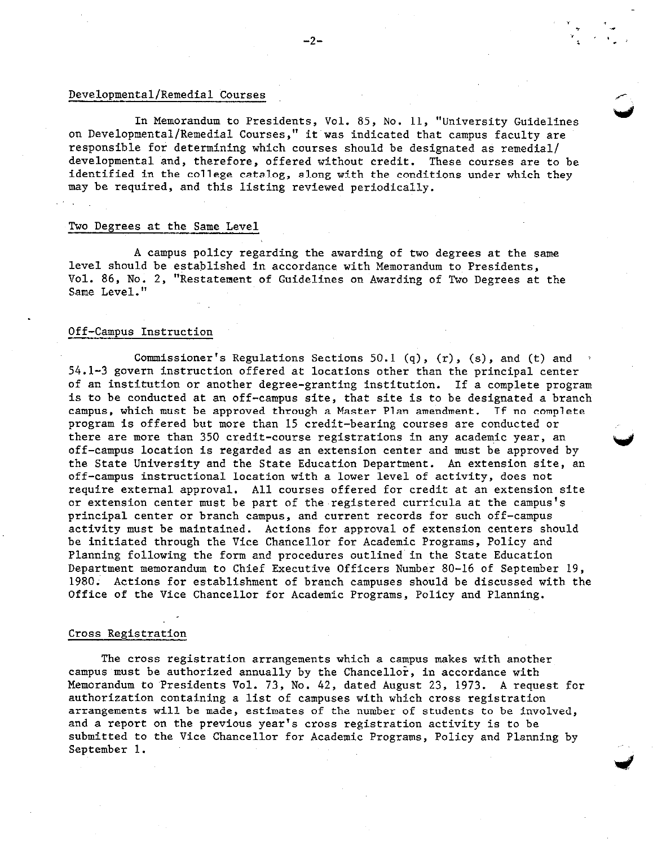## Developmental/Remedial Courses

In Memorandum to Presidents, Vol. 85, No. 11, "University Guidelines on Developmental/Remedial Courses," it'was indicated that campus faculty are responsible for determining which courses should be designated as remedial/ developmental and, therefore, offered without credit. These courses are to be identified in the college catalog, along with the conditions under which they may be required, and this listing reviewed periodically.

### Two Degrees at the Same Level

A campus policy regarding the awarding of two degrees at the same level should be established in accordance with Memorandum to Presidents, Vol. 86, No. 2, "Restatement of Guidelines on Awarding of Two Degrees at the Same Level."

### Off-Campus Instruction

Commissioner's Regulations Sections 50.1 (q),  $(r)$ ,  $(s)$ , and  $(t)$  and 54.1-3 govern instruction offered at locations other than the principal center of an institution or another degree-granting institution. If a complete program is to be conducted at an off-campus site, that site is to be designated a branch campus, which must be approved through a Master Plan amendment. If no complete program is offered but more than 15 credit-bearing courses are conducted or there are more than 350 credit-course registrations in any academic year, an off-campus location is regarded as an extension center and must be approved by the State University and the State Education Department. An extension site, an off-campus instructional location with a lower level of activity, does not require external approval. All courses offered for credit at an extension site or extension center must be part of the registered curricula at the campus's principal center or branch campus, and current records for such off-campus activity must be maintained. Actions for approval of extension centers should be initiated through the Vice Chancellor for Academic Programs, Policy and Planning following the form and procedures outlined in the State Education Department memorandum to Chief Executive Officers Number 80-16 of September 19, 1980. Actions for establishment of branch campuses should be discussed with the Office of the Vice Chancellor for Academic Programs, Policy and Planning.

### Cross Registration

The cross registration arrangements which a campus makes with another campus must be authorized annually by the Chancellor, in accordance with Memorandum to 'Presidents Vol. 73, No. 42, dated August 23, 1973. A request for authorization containing a list of campuses with which cross registration arrangements will be made, estimates of the number of students to be involved, and a report on the previous year's cross registration activity is to be submitted to the Vice Chancellor for Academic Programs, Policy and Planning by September 1.

., r i

 $\cdot$   $\cdot$ '\_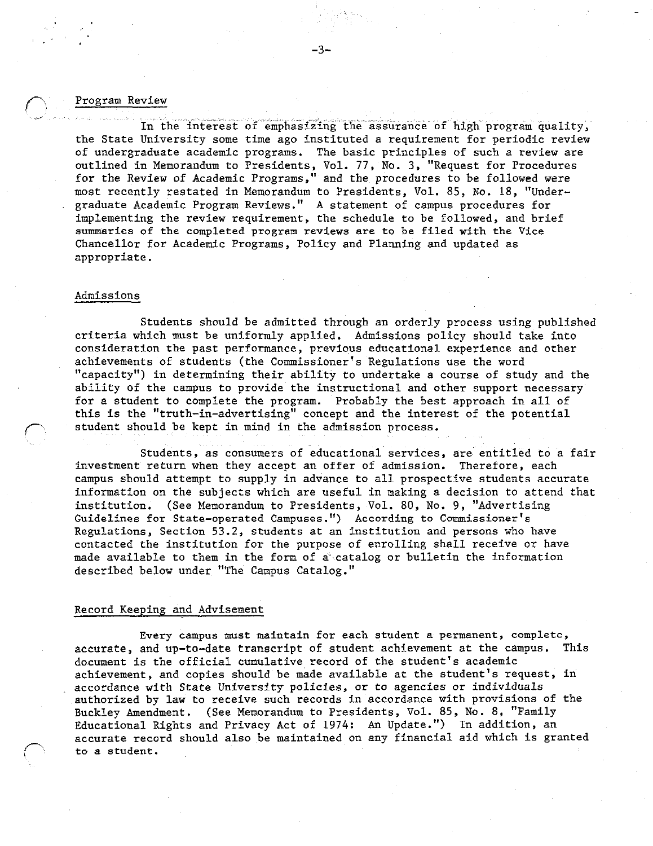## Program Review

. I.' .

In the interest of emphasizing the assurance of high program quality, the State University some time ago instituted a requirement for periodic review of undergraduate academic programs. The basic principles of such a review are outlined in Memorandum to Presidents, Vol. 77, No. 3, "Request for Procedures for the Review of Academic Programs," and the procedures to be followed were most recently restated in Memorandum to Presidents, Vol. 85, No. 18, "Undergraduate Academic Program Reviews." A statement of campus procedures for implementing the review requirement, the schedule to be followed, and brief summaries of the completed program reviews are to be filed with the Vice Chancellor for Academic Programs, Policy and Planning and updated as appropriate.

#### Admissions

Students should be admitted through an orderly process using published criteria which must be uniformly applied. Admissions policy should take into consideration the past performance, previous educational experience and other achievements of students (the Commissioner's Regulations use the word "capacity") in determining their ability to undertake a course of study and the ability of the campus to provide the instructional and other support necessary for a student to complete the program. Probably the best approach in all of this is the "truth-in-advertising" concept and the interest of the potential student should be kept in mind in the admission process.

Students, as consumers of educational services, are entitled to a fair investment return when they accept an offer of admission. Therefore, each campus should attempt to supply in advance to all prospective students accurate information on the subjects which are useful in making a decision to attend that institution. (See Memorandum to Presidents, Vol. 80, No. 9, "Advertising Guidelines for State-operated Campuses. ") According to Commissioner's Regulations, Section 53.2, students at an institution and persons who have contacted the institution for the purpose of enrolling shall receive or have made available to them in the form of a catalog or bulletin the information described below under "The Campus Catalog."

## Record Keeping and Advisement

 $\sqrt{2}$ 

Every campus must maintain for each student a permanent, complete, accurate, and up-to-date transcript of student achievement at the campus. This document is the official cumulative record of the student's academic achievement, and copies should be made available at the student's request, in accordance with State University policies, or to agencies or individuals authorized by law to receive such records in accordance with provisions of the Buckley Amendment. (See Memorandum to Presidents, Vol. 85, No. 8, "Family Educational Rights and Privacy Act of 1974: An Update.") In addition, an accurate record should also be maintained on any financial aid which is granted to a student.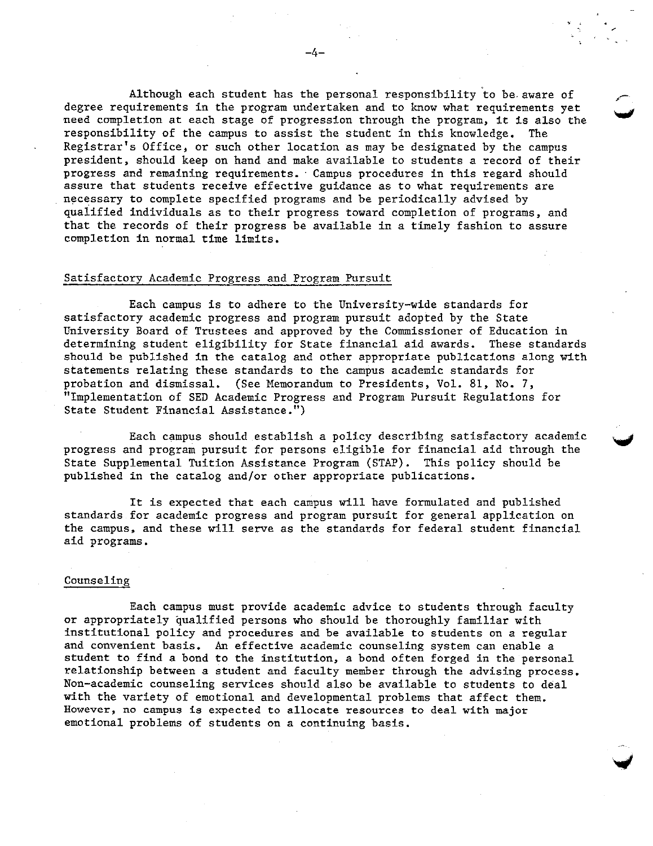Although each student has the personal responsibility to be aware of degree requirements in the program undertaken and to know what requirements yet need completion at each stage of progression through the program, it is also the responsibility of the campus to assist the student in this knowledge. The Registrar's Office, or such other location as may be designated by the campus president, should keep on hand and make available to students a record of their progress and remaining requirements. Campus procedures in this regard should assure that students receive effective guidance as to what requirements are necessary to complete specified programs and be periodically advised by qualified individuals as to their progress toward completion of programs, and that the records of their progress be available in a timely fashion to assure completion in normal time limits.

## Satisfactory Academic Progress and Program Pursuit

Each campus is to adhere to the University-wide standards for satisfactory academic progress and program pursuit adopted by the State University Board of Trustees and approved by the Commissioner of Education in determining student eligibility for State financial aid awards. These standards should be published in the catalog and other appropriate publications along with statements relating these standards to the campus academic standards for probation and dismissal. (See Memorandum to Presidents, Vol. 81, No. 7, "Implementation of SED Academic Progress and Program Pursuit Regulations for State Student Financial Assistance.")

Each campus should establish a policy describing satisfactory academic progress and program pursuit for persons eligible for financial aid through the State Supplemental Tuition Assistance Program (STAP). This policy should be published in the catalog and/or other appropriate publications.

.<br>Communications

It is expected that each campus will have formulated and published standards for academic progress and program pursuit for general application on the campus, and these will serve as the standards for federal student financial aid programs.

## Counseling

Each campus must provide academic advice to students through faculty or appropriately qualified persons who should be thoroughly familiar with institutional policy and procedures and be available to students on a regular and convenient basis. An effective academic counseling system can enable a student to find a bond to the institution, a bond often forged in the personal relationship between a student and faculty member through the advising process. Non-academic counseling services should also be available to students to deal with the variety of emotional and developmental problems that affect them. However, no campus is expected to allocate resources to deal with major emotional problems of students on a continuing basis.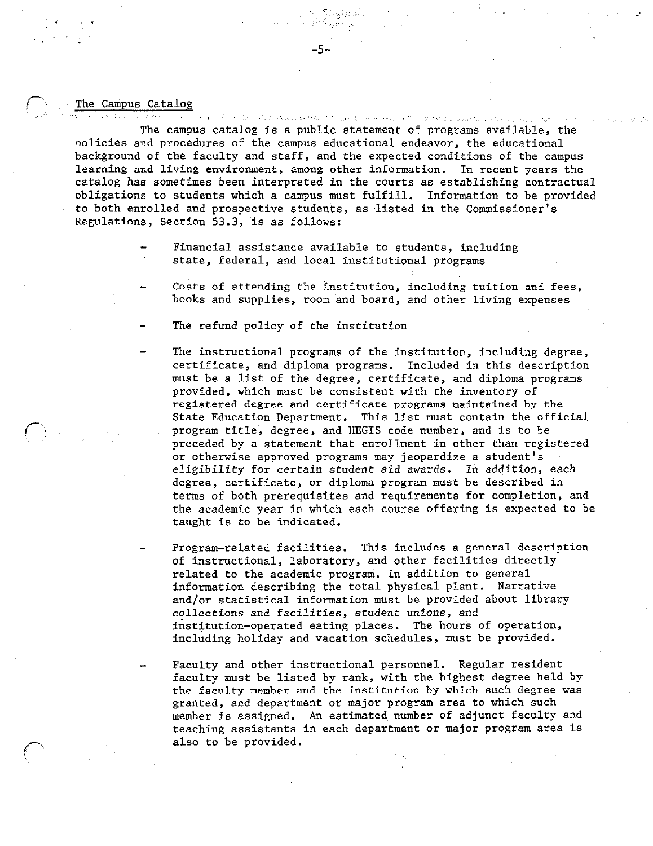#### The Campus Catalog

 $\sim$  ',  $\sim$ ,, ;

p, ,'

ด ๆ ให้ดูคลที่วันหารพร้องแต่ละเมื่อขณะตาม แม่มีดานเพื่อที่เหมือน ไม่และมหาดหรือนหยังแรกเซนี และมหาดหรือ ๆ เราม The campus catalog is a public statement of programs available, the policies and procedures of the campus educational endeavor, the educational background of the faculty and staff, and the expected conditions of the campus learning and living environment, among other information. In recent years the catalog has sometimes been interpreted in the courts as establishing contractual obligations to students which a campus must fulfill. Information to be provided to both enrolled and prospective students, as listed in the Commissioner's Regulations, Section 53.3, is as follows:

-5-

- Financial assistance available to students, including state, federal, and local institutional programs
- Costs of attending the institution, including tuition and fees, books and supplies, room and board, and other living expenses
- The refund policy of the institution
- The instructional programs of the institution, including degree, certificate, and diploma programs. Included in this description must be a list of the, degree, certificate, and diploma programs provided, which must be consistent with the inventory of registered degree and certificate programs maintained by the State Education Department. This list must contain the official program title, degree, and HEGIS code number, and is to be preceded by a statement that enrollment in other than registered or otherwise approved programs may jeopardize a student's eligibility for certain student aid awards. In addition, each degree, certificate, or diploma program must be described in terms of both prerequisites and requirements for completion, and the academic year in which each course offering is expected to be taught is to be indicated.
- Program-related facilities. This includes a general description of instructional, laboratory, and other facilities directly related to the academic program, in addition to general information describing the total physical plant. Narrative and/or statistical information must be provided about library collections and facilities, student unions, and institution-operated eating places. The hours of operation, including holiday and vacation schedules, must be provided.
- Faculty and other instructional personnel. Regular resident faculty must be listed by rank, with the highest degree held by the faculty member and the institution by which such degree was granted, and department or major program area to which such member is assigned. An estimated, number of adjunct faculty and teaching assistants in each department or major program area is also to be provided.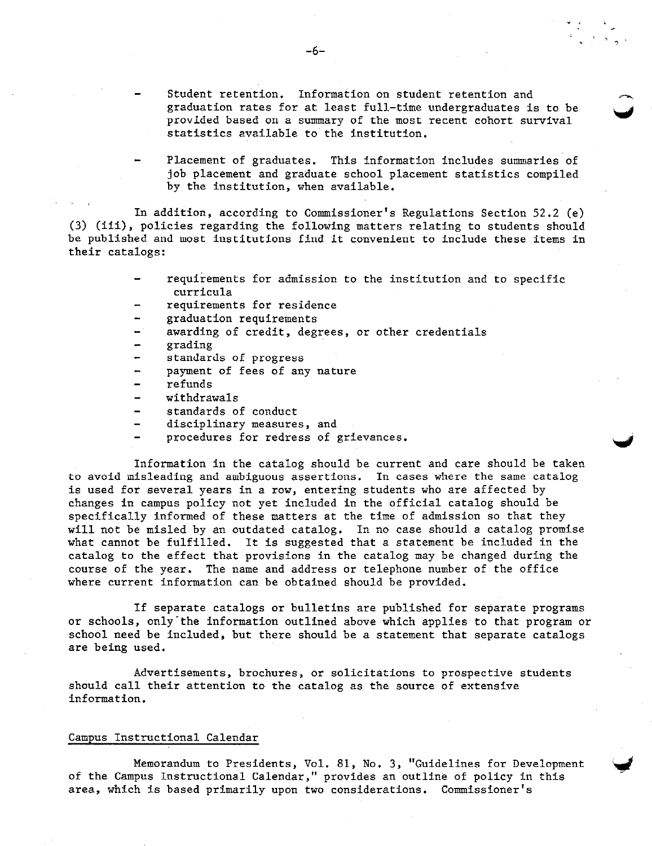- Student retention. Information on student retention and graduation rates for at least full-time undergraduates is to be provided based on a summary of the most recent cohort survival statistics available to the institution.
- Placement of graduates. This information includes summaries of job placement and graduate school placement statistics compiled by the institution, when available.

In addition, according to Commissioner's Regulations Section 52.2 (e) (3) (iii), policies regarding the following matters relating to students should be published and most institutions find it convenient to include these items in their catalogs:

- requirements for admission to the institution and to specific curricula
- requirements for residence
- graduation requirements
- awarding of credit, degrees, or other credentials
- grading
- standards of progress
- payment of fees of any nature
- refunds
- withdrawals  $\rightarrow$
- standards of conduct
- disciplinary measures, and
- procedures for redress of grievances.

Information in the catalog should be current and care should be taken to avoid misleading and ambiguous assertions. In cases where the same catalog is used for several years in a row, entering students who are affected by changes in campus policy not yet included in the official catalog should be specifically informed of these matters at the time of admission so that they will not be misled by an outdated catalog. In no case should a catalog promise what cannot be fulfilled. It is suggested that a statement be included in the catalog to the effect that provisions in the catalog may be changed during the course of the year. The name and address or telephone number of the office where current information can be obtained should be provided.

If separate catalogs or bulletins are published for separate programs or schools, only-the information outlined above which applies to that program or school need be included, but there should be a statement that separate catalogs are being used.

Advertisements, brochures, or solicitations to prospective students should call their attention to the catalog as the source of extensive information.

### Campus Instructional Calendar

Memorandum to Presidents, Vol. 81, No. 3, "Guidelines for Development of the Campus Instructional Calendar," provides an outline of policy in this area, which is based primarily upon two considerations. Commissioner's

 $\blacktriangleright$